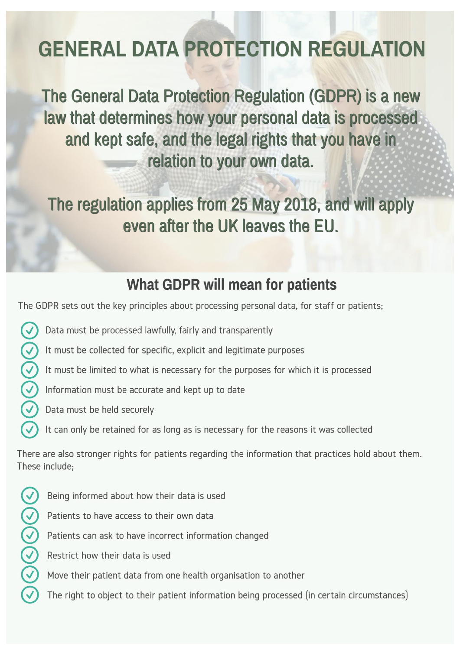# **GENERAL DATA PROTECTION REGULATION**

The General Data Protection Regulation (GDPR) is a new law that determines how your personal data is processed and kept safe, and the legal rights that you have in relation to your own data.

The regulation applies from 25 May 2018, and will apply even after the UK leaves the EU.

### **What GDPR will mean for patients**

The GDPR sets out the key principles about processing personal data, for staff or patients;

- $\blacktriangledown$ Data must be processed lawfully, fairly and transparently
	- It must be collected for specific, explicit and legitimate purposes
- $Q(\zeta)(\zeta)$ It must be limited to what is necessary for the purposes for which it is processed
	- Information must be accurate and kept up to date
	- Data must be held securely
		- It can only be retained for as long as is necessary for the reasons it was collected

There are also stronger rights for patients regarding the information that practices hold about them. These include:

- $\Im\Theta$  $\Theta$  $\Theta$  $\odot$ Being informed about how their data is used
	- Patients to have access to their own data
	- Patients can ask to have incorrect information changed
	- Restrict how their data is used
	- Move their patient data from one health organisation to another
	- The right to object to their patient information being processed (in certain circumstances)